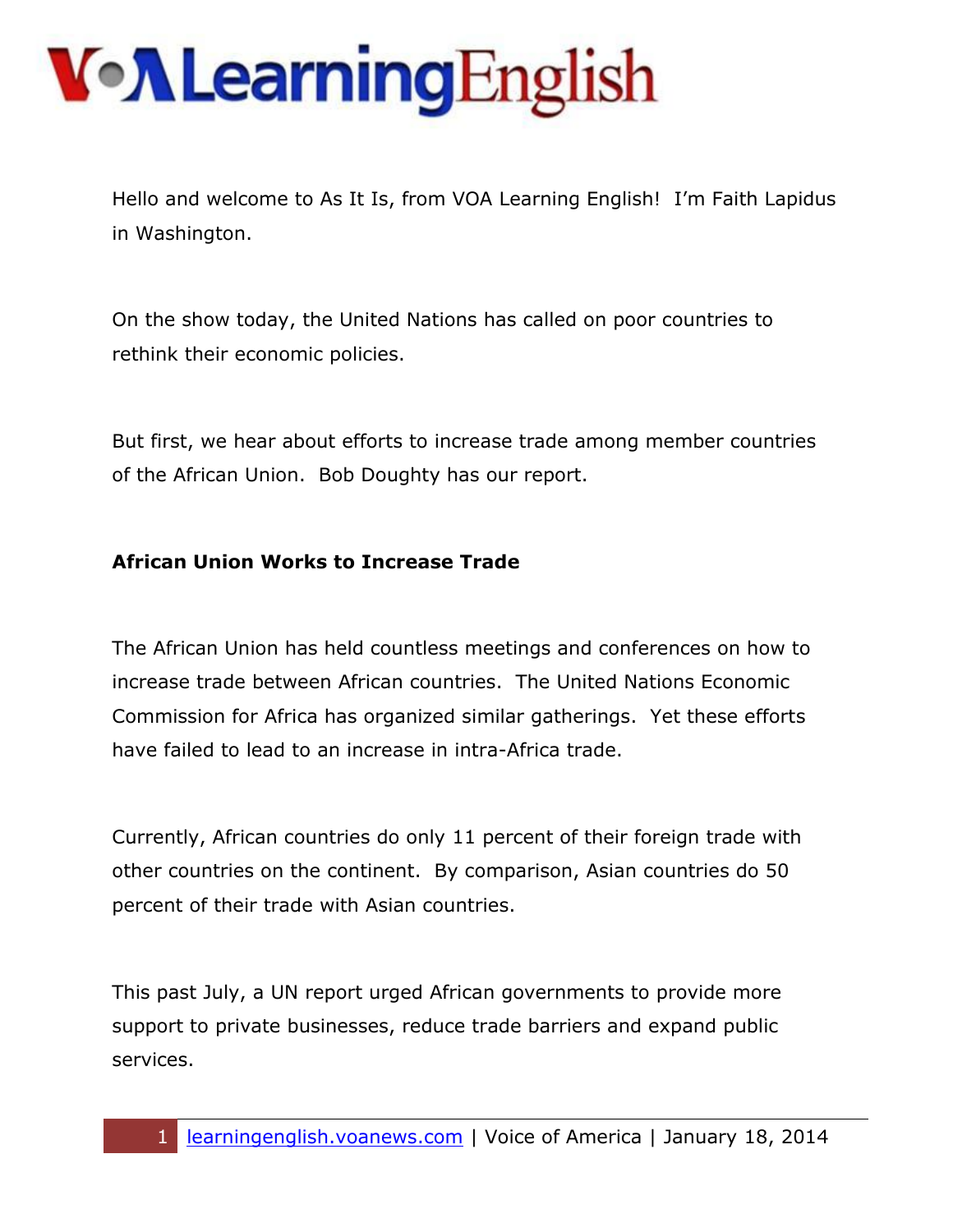Hello and welcome to As It Is, from VOA Learning English! I'm Faith Lapidus in Washington.

On the show today, the United Nations has called on poor countries to rethink their economic policies.

But first, we hear about efforts to increase trade among member countries of the African Union. Bob Doughty has our report.

#### **African Union Works to Increase Trade**

The African Union has held countless meetings and conferences on how to increase trade between African countries. The United Nations Economic Commission for Africa has organized similar gatherings. Yet these efforts have failed to lead to an increase in intra-Africa trade.

Currently, African countries do only 11 percent of their foreign trade with other countries on the continent. By comparison, Asian countries do 50 percent of their trade with Asian countries.

This past July, a UN report urged African governments to provide more support to private businesses, reduce trade barriers and expand public services.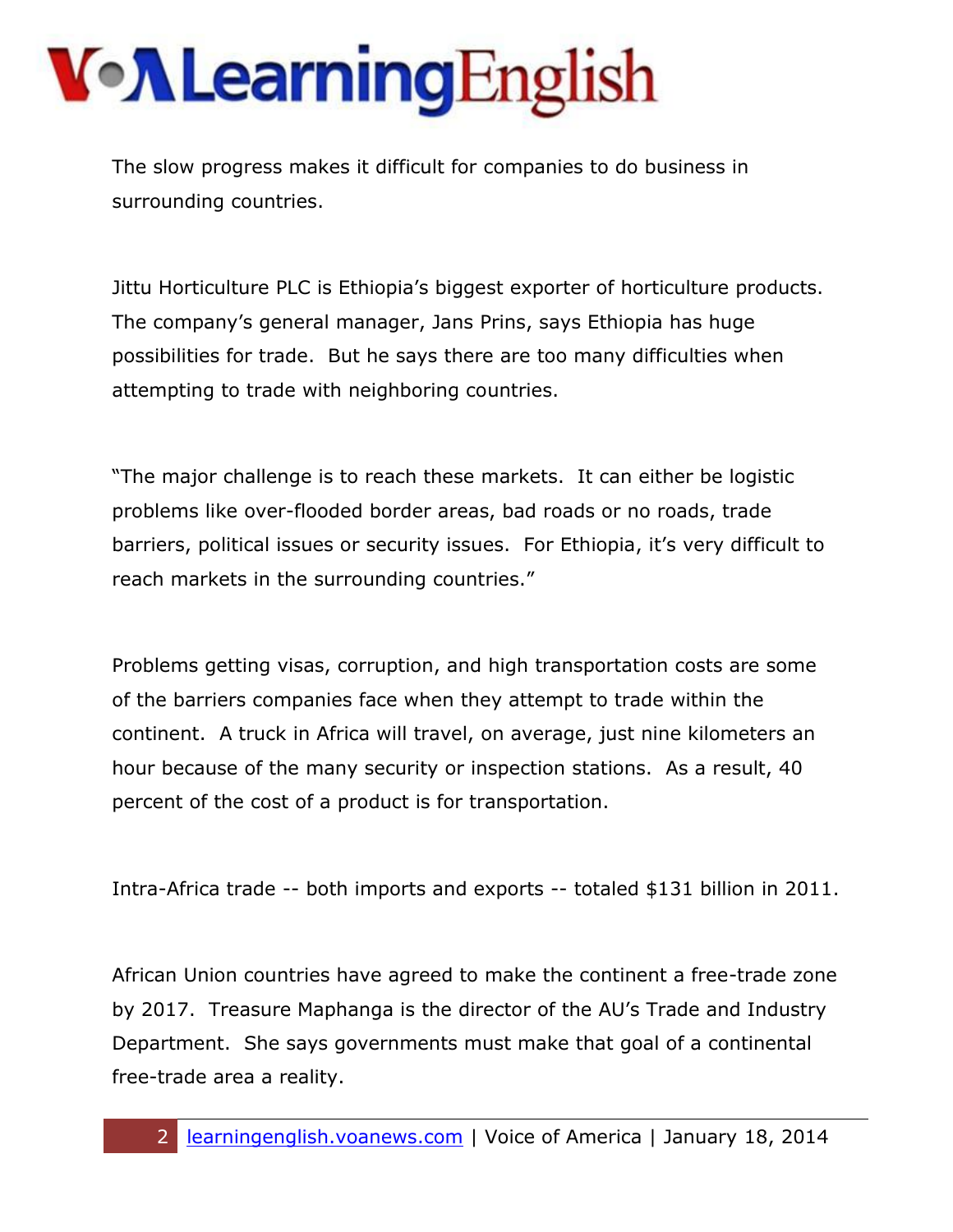The slow progress makes it difficult for companies to do business in surrounding countries.

Jittu Horticulture PLC is Ethiopia's biggest exporter of horticulture products. The company's general manager, Jans Prins, says Ethiopia has huge possibilities for trade. But he says there are too many difficulties when attempting to trade with neighboring countries.

"The major challenge is to reach these markets. It can either be logistic problems like over-flooded border areas, bad roads or no roads, trade barriers, political issues or security issues. For Ethiopia, it's very difficult to reach markets in the surrounding countries."

Problems getting visas, corruption, and high transportation costs are some of the barriers companies face when they attempt to trade within the continent. A truck in Africa will travel, on average, just nine kilometers an hour because of the many security or inspection stations. As a result, 40 percent of the cost of a product is for transportation.

Intra-Africa trade -- both imports and exports -- totaled \$131 billion in 2011.

African Union countries have agreed to make the continent a free-trade zone by 2017. Treasure Maphanga is the director of the AU's Trade and Industry Department. She says governments must make that goal of a continental free-trade area a reality.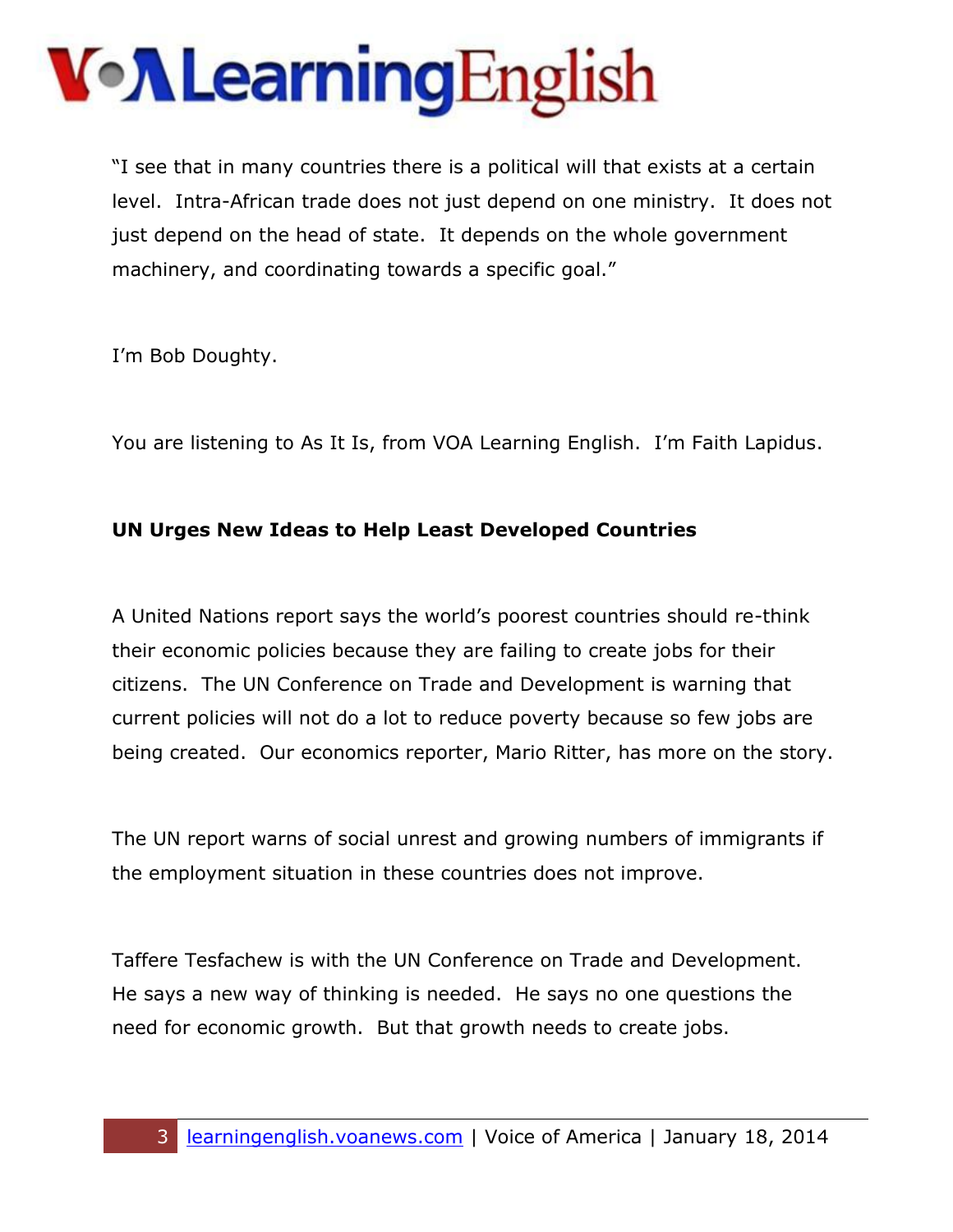## VollearningEnglish

"I see that in many countries there is a political will that exists at a certain level. Intra-African trade does not just depend on one ministry. It does not just depend on the head of state. It depends on the whole government machinery, and coordinating towards a specific goal."

I'm Bob Doughty.

You are listening to As It Is, from VOA Learning English. I'm Faith Lapidus.

#### **UN Urges New Ideas to Help Least Developed Countries**

A United Nations report says the world's poorest countries should re-think their economic policies because they are failing to create jobs for their citizens. The UN Conference on Trade and Development is warning that current policies will not do a lot to reduce poverty because so few jobs are being created. Our economics reporter, Mario Ritter, has more on the story.

The UN report warns of social unrest and growing numbers of immigrants if the employment situation in these countries does not improve.

Taffere Tesfachew is with the UN Conference on Trade and Development. He says a new way of thinking is needed. He says no one questions the need for economic growth. But that growth needs to create jobs.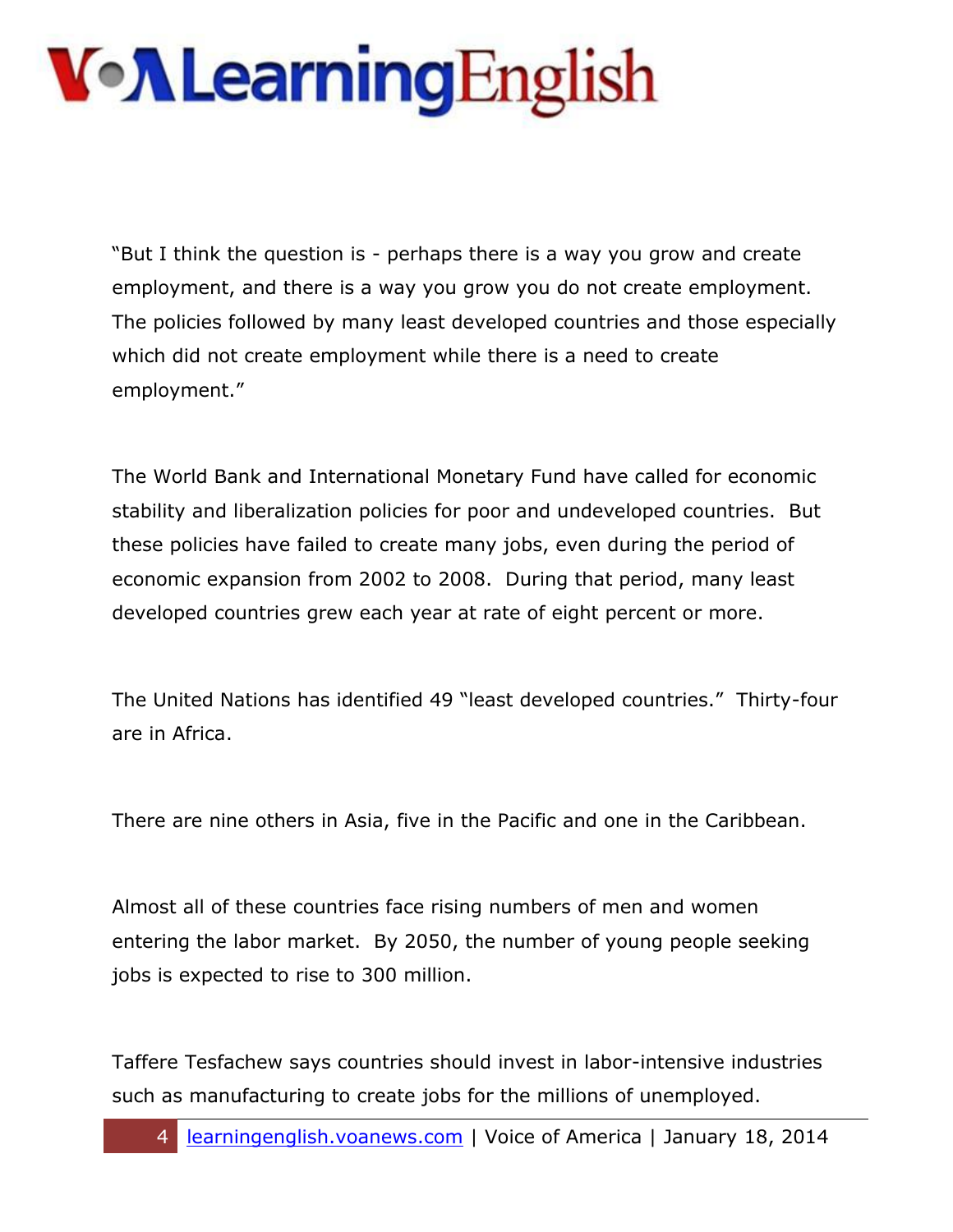"But I think the question is - perhaps there is a way you grow and create employment, and there is a way you grow you do not create employment. The policies followed by many least developed countries and those especially which did not create employment while there is a need to create employment."

The World Bank and International Monetary Fund have called for economic stability and liberalization policies for poor and undeveloped countries. But these policies have failed to create many jobs, even during the period of economic expansion from 2002 to 2008. During that period, many least developed countries grew each year at rate of eight percent or more.

The United Nations has identified 49 "least developed countries." Thirty-four are in Africa.

There are nine others in Asia, five in the Pacific and one in the Caribbean.

Almost all of these countries face rising numbers of men and women entering the labor market. By 2050, the number of young people seeking jobs is expected to rise to 300 million.

Taffere Tesfachew says countries should invest in labor-intensive industries such as manufacturing to create jobs for the millions of unemployed.